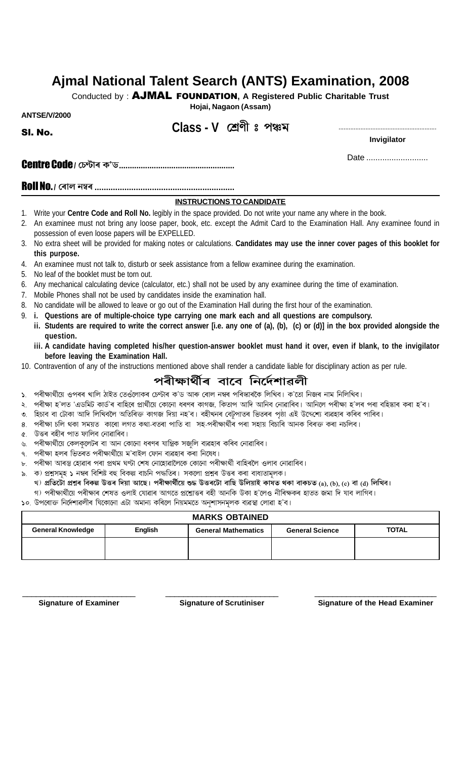# Ajmal National Talent Search (ANTS) Examination, 2008

Conducted by: AJMAL FOUNDATION, A Registered Public Charitable Trust

Hojai, Nagaon (Assam)

**ANTSF/V/2000** 

SI. No.

# Class - V শ্ৰেণী ঃ পঞ্চম

Invigilator

Date ............................

### **INSTRUCTIONS TO CANDIDATE**

- 1. Write your Centre Code and Roll No. legibly in the space provided. Do not write your name any where in the book.
- 2. An examinee must not bring any loose paper, book, etc. except the Admit Card to the Examination Hall. Any examinee found in possession of even loose papers will be EXPELLED.
- 3. No extra sheet will be provided for making notes or calculations. Candidates may use the inner cover pages of this booklet for this purpose.
- 4. An examinee must not talk to, disturb or seek assistance from a fellow examinee during the examination.
- 5. No leaf of the booklet must be torn out.
- 6. Any mechanical calculating device (calculator, etc.) shall not be used by any examinee during the time of examination.
- 7. Mobile Phones shall not be used by candidates inside the examination hall.
- 8. No candidate will be allowed to leave or go out of the Examination Hall during the first hour of the examination.
- 9. i. Questions are of multiple-choice type carrying one mark each and all questions are compulsory.
- ii. Students are required to write the correct answer [i.e. any one of (a), (b), (c) or (d)] in the box provided alongside the question.
	- iii. A candidate having completed his/her question-answer booklet must hand it over, even if blank, to the invigilator before leaving the Examination Hall.
- 10. Contravention of any of the instructions mentioned above shall render a candidate liable for disciplinary action as per rule.

# পৰীক্ষাৰ্থীৰ বাবে নিৰ্দেশাৱলী

- ১. পৰীক্ষাৰ্থীয়ে ওপৰৰ খালি ঠাইত তেওঁলোকৰ চেণ্টাৰ ক'ড আৰু ৰোল নম্বৰ পৰিস্কাৰকৈ লিখিব। ক'তো নিজৰ নাম নিলিখিব।
- পৰীক্ষা হ'লত 'এডমিট কাৰ্ড'ৰ বাহিৰে প্ৰাৰ্থীয়ে কোনো ধৰণৰ কাগজ, কিতাপ আদি আনিব নোৱাৰিব। আনিলে পৰীক্ষা হ'লৰ পৰা বহিষ্কাৰ কৰা হ'ব।  $\ddot{\phantom{0}}$
- ৩. হিচাব বা টোকা আদি লিখিবলৈ অতিৰিক্ত কাগজ দিয়া নহ'ব। বহীখনৰ বেট়পাতৰ ভিতৰৰ পৃষ্ঠা এই উদ্দেশ্যে ব্যৱহাৰ কৰিব পাৰিব।
- পৰীক্ষা চলি থকা সময়ত কাৰো লগত কথা-বতৰা পাতি বা সহ-পৰীক্ষাৰ্থীৰ পৰা সহায় বিচাৰি আনক বিৰক্ত কৰা নচলিব। 8.
- উত্তৰ বহীৰ পাত ফালিব নোৱাৰিব। Q.
- পৰীক্ষাৰ্থীয়ে কেলকুলেটৰ বা আন কোনো ধৰণৰ যান্ত্ৰিক সজুলি ব্যৱহাৰ কৰিব নোৱাৰিব।
- ৭. পৰীক্ষা হলৰ ভিতৰত পৰীক্ষাৰ্থীয়ে ম'বাইল ফোন ব্যৱহাৰ কৰা নিষেধ।
- ৮. পৰীক্ষা আৰম্ভ হোৱাৰ পৰা প্ৰথম ঘণ্টা শেষ নোহোৱালৈকে কোনো পৰীক্ষাৰ্থী বাহিৰলৈ ওলাব নোৱাৰিব।
- ৯. ক) প্ৰশ্নসমূহ ১ নম্বৰ বিশিষ্ট বহু বিকল্প বাচনি পদ্ধতিৰ। সকলো প্ৰশ্নৰ উত্তৰ কৰা বাধ্যতামলক।
- খ) প্ৰতিটো প্ৰশ্নৰ বিকল্প উত্তৰ দিয়া আছে। পৰীক্ষাৰ্থীয়ে শুদ্ধ উত্তৰটো বাছি উলিয়াই কাষত থকা বাকচত (a), (b), (c) বা (d) লিখিব। গ) পৰীক্ষাৰ্থীয়ে পৰীক্ষাৰ শেষত ওলাই যোৱাৰ আগতে প্ৰশ্নোত্তৰ বহী আনকি উকা হ'লেও নীৰিক্ষকৰ হাতত জমা দি যাব লাগিব।

১০. উপৰোক্ত নিৰ্দেশাৱলীৰ যিকোনো এটা অমান্য কৰিলে নিয়মমতে অনুশাসনমূলক ব্যৱস্থা লোৱা হ'ব।

#### **MARKS OBTAINED TOTAL General Knowledge English General Mathematics General Science**

**Signature of Examiner** 

**Signature of Scrutiniser** 

**Signature of the Head Examiner**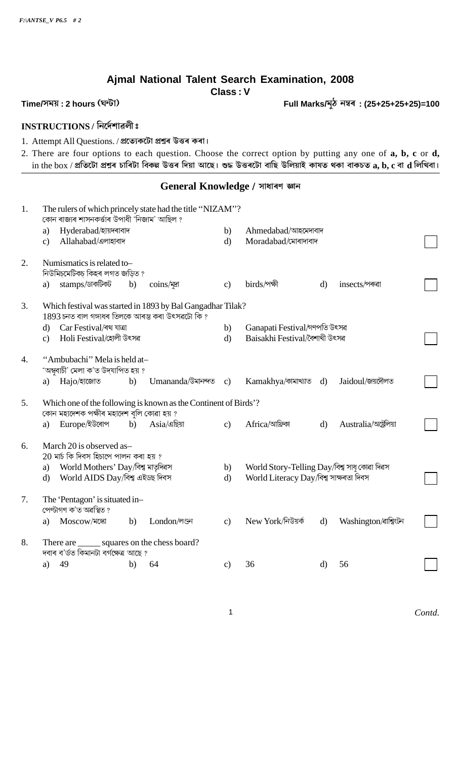# Ajmal National Talent Search Examination, 2008

**Class: V** 

Full Marks/মুঠ নম্বৰ: (25+25+25+25)=100

## Time/সময়: 2 hours (ঘন্টা)

## INSTRUCTIONS / निर्द्रमाइली:

1. Attempt All Questions. / প্ৰত্যেকটো প্ৰশ্নৰ উত্তৰ কৰা।

2. There are four options to each question. Choose the correct option by putting any one of a, b, c or d, in the box / প্ৰতিটো প্ৰশ্নৰ চাৰিটা বিকল্প উত্তৰ দিয়া আছে। শুদ্ধ উত্তৰটো বাছি উলিয়াই কাষত থকা বাকচত  $\bf a, \bf b, \bf c$  বা  $\bf d$  লিখিবা।

### General Knowledge / সাধাৰণ জ্ঞান

| 1. | The rulers of which princely state had the title "NIZAM"?<br>কোন ৰাজ্যৰ শাসনকৰ্ত্তাৰ উপাধী 'নিজাম' আছিল ?         |               |                                              |              |                        |  |  |  |  |  |  |
|----|-------------------------------------------------------------------------------------------------------------------|---------------|----------------------------------------------|--------------|------------------------|--|--|--|--|--|--|
|    | Hyderabad/হায়দৰাবাদ<br>a)                                                                                        | b)            | Ahmedabad/আহমেদাবাদ                          |              |                        |  |  |  |  |  |  |
|    | Allahabad/এলাহাবাদ<br>$\mathbf{c}$                                                                                | $\mathbf{d}$  | Moradabad/মোৰাদাবাদ                          |              |                        |  |  |  |  |  |  |
| 2. | Numismatics is related to-<br>নিউমিচ্মেটিকচ্ কিহৰ লগত জড়িত ?                                                     |               |                                              |              |                        |  |  |  |  |  |  |
|    | stamps/ডাকটিকট<br>coins/यूज<br>b)<br>a)                                                                           | $\mathbf{c}$  | birds/পক্ষী                                  | $\mathbf{d}$ | insects/পৰুৱা          |  |  |  |  |  |  |
| 3. | Which festival was started in 1893 by Bal Gangadhar Tilak?<br>$1893$ চনত বাল গঙ্গাধৰ তিলকে আৰম্ভ কৰা উৎসৱটো কি ?  |               |                                              |              |                        |  |  |  |  |  |  |
|    | Car Festival/ৰথ যাত্ৰা<br>$\mathbf{d}$                                                                            | b)            | Ganapati Festival/গণপতি উৎসৱ                 |              |                        |  |  |  |  |  |  |
|    | Holi Festival/হোলী উৎসৱ<br>$\mathbf{c}$                                                                           | $\mathbf{d}$  | Baisakhi Festival/বৈশাখী উৎসৱ                |              |                        |  |  |  |  |  |  |
| 4. | "Ambubachi" Mela is held at-<br>'অম্ববাচী' মেলা ক'ত উদ্যাপিত হয় ?<br>Umananda/উমানন্দত<br>Hajo/হাজোত<br>b)<br>a) | $\mathbf{c}$  | Kamakhya/কামাখ্যাত                           | d)           | Jaidoul/জয়দৌলত        |  |  |  |  |  |  |
|    |                                                                                                                   |               |                                              |              |                        |  |  |  |  |  |  |
| 5. | Which one of the following is known as the Continent of Birds'?<br>কোন মহাদেশক পক্ষীৰ মহাদেশ বুলি কোৱা হয় ?      |               |                                              |              |                        |  |  |  |  |  |  |
|    | Europe/ইউৰোপ<br>$Asia/$ এছিয়া<br>b)<br>a)                                                                        | $\mathbf{c}$  | Africa/আফ্রিকা                               | $\mathbf{d}$ | Australia/অষ্ট্ৰেলিয়া |  |  |  |  |  |  |
| 6. | March 20 is observed as-<br>$20$ মাৰ্চ কি দিবস হিচাপে পালন কৰা হয় ?                                              |               |                                              |              |                        |  |  |  |  |  |  |
|    | World Mothers' Day/বিশ্ব মাতৃদিৱস<br>a)                                                                           | b)            | World Story-Telling Day/বিশ্ব সাধ় কোৱা দিৱস |              |                        |  |  |  |  |  |  |
|    | World AIDS Day/বিশ্ব এইডছ দিবস<br>$\mathbf{d}$                                                                    | $\mathbf{d}$  | World Literacy Day/বিশ্ব সাক্ষৰতা দিবস       |              |                        |  |  |  |  |  |  |
| 7. | The 'Pentagon' is situated in-<br>পেণ্টাগণ ক'ত অৱস্থিত ?                                                          |               |                                              |              |                        |  |  |  |  |  |  |
|    | London/লণ্ডন<br>Moscow/মঙ্গো<br>b)<br>a)                                                                          | $\mathbf{c}$  | New York/নিউয়র্ক                            | $\mathbf{d}$ | Washington/ৰাশ্বিংটন   |  |  |  |  |  |  |
| 8. | There are _______ squares on the chess board?<br>দবাৰ ব'ৰ্ডত কিমানটা বৰ্গক্ষেত্ৰ আছে ?                            |               |                                              |              |                        |  |  |  |  |  |  |
|    | 49<br>64<br>b)<br>a)                                                                                              | $\mathbf{c})$ | 36                                           | $\mathbf{d}$ | 56                     |  |  |  |  |  |  |
|    |                                                                                                                   |               |                                              |              |                        |  |  |  |  |  |  |

 $\mathbf{1}$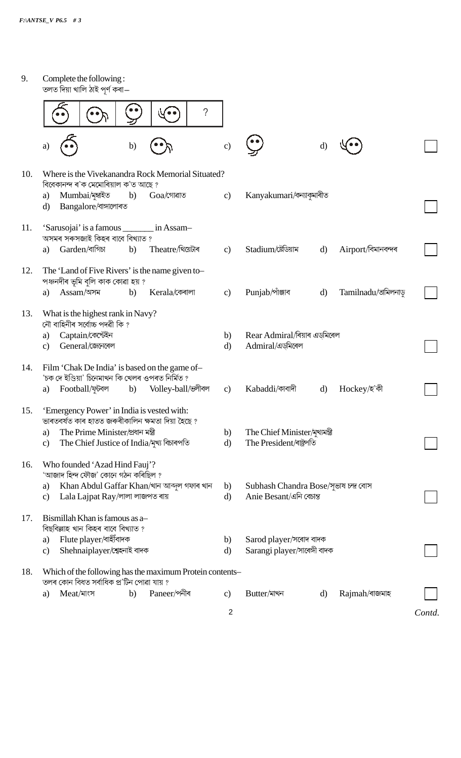| Complete the following:<br>তলত দিয়া খালি ঠাই পূৰ্ণ কৰা—                                                                                                                                                 |                    |                                                                  |              |                     |
|----------------------------------------------------------------------------------------------------------------------------------------------------------------------------------------------------------|--------------------|------------------------------------------------------------------|--------------|---------------------|
| V o (                                                                                                                                                                                                    | $\gamma$           |                                                                  |              |                     |
| b)<br>a)                                                                                                                                                                                                 | $\mathbf{c})$      |                                                                  | $\rm d$      |                     |
| Where is the Vivekanandra Rock Memorial Situated?<br>বিবেকানন্দ ৰ'ক মেমোৰিয়াল ক'ত আছে?                                                                                                                  |                    |                                                                  |              |                     |
| Mumbai/মুম্বাইত<br>b)<br>$Goa$ /গোৱাত<br>a)<br>Bangalore/বাঙ্গালোৰত<br>$\mathbf{d}$                                                                                                                      | $\mathbf{c}$       | Kanyakumari/কন্যাকুমাৰীত                                         |              |                     |
| 'Sarusojai' is a famous ________ in Assam-<br>অসমৰ সৰুসজাই কিহৰ বাবে বিখ্যাত ?                                                                                                                           |                    |                                                                  |              |                     |
| Garden/বাগিচা<br>Theatre/থিয়েটাৰ<br>b)<br>a)                                                                                                                                                            | $\mathbf{c})$      | Stadium/ষ্টেডিয়াম                                               | $\mathbf{d}$ | Airport/বিমানবন্দৰ  |
| The 'Land of Five Rivers' is the name given to-<br>পঞ্চনদীৰ ভূমি বুলি কাক কোৱা হয় ?                                                                                                                     |                    |                                                                  |              |                     |
| Assam/অসম<br>Kerala/কেৰালা<br>b)<br>a)                                                                                                                                                                   | c)                 | Punjab/পাঁঞ্জাব                                                  | $\mathbf{d}$ | Tamilnadu/তামিলনাডু |
| What is the highest rank in Navy?<br>নৌ বাহিনীৰ সৰ্বোচ্চ পদৱী কি ?<br>Captain/কেপ্টেইন<br>a)                                                                                                             | b)                 | Rear Admiral/ৰিয়াৰ এড্মিৰেল                                     |              |                     |
| General/জেনেৰেল<br>$\mathbf{c}$                                                                                                                                                                          | $\mathbf{d}$       | Admiral/এড়মিৰেল                                                 |              |                     |
| Film 'Chak De India' is based on the game of-<br>'চক দে ইণ্ডিয়া' চিনেমাখন কি খেলৰ ওপৰত নিৰ্মিত ?<br>Football/ফুটবল b) Volley-ball/জ্জীবল<br>a)                                                          | $\mathbf{c})$      | Kabaddi/কাবাদী                                                   | d)           | Hockey/হ'কী         |
| 'Emergency Power' in India is vested with:<br>ভাৰতবৰ্ষত কাৰ হাতত জৰুৰীকালিন ক্ষমতা দিয়া হৈছে ?<br>The Prime Minister/প্ৰধান মন্ত্ৰী<br>a)<br>The Chief Justice of India/মুখ্য বিচাৰপতি<br>$\mathbf{c})$ | b)<br>$\mathbf{d}$ | The Chief Minister/মুখ্যমন্ত্ৰী<br>The President/ৰাষ্ট্ৰপতি      |              |                     |
| Who founded 'Azad Hind Fauj'?<br>'আজাদ হিন্দ ফৌজ' কোনে গঠন কৰিছিল ?<br>Khan Abdul Gaffar Khan/খান আব্দুল গফাৰ খান<br>a)<br>Lala Lajpat Ray/লালা লাজপত ৰায়<br>$\mathbf{c}$                               | b)<br>$\mathbf{d}$ | Subhash Chandra Bose/সুভাষ চন্দ্ৰ বোস<br>Anie Besant/এনি বেচান্ত |              |                     |
| Bismillah Khan is famous as a-<br>বিছবিল্লাহ খান কিহৰ বাবে বিখ্যাত ?                                                                                                                                     |                    |                                                                  |              |                     |
| Flute player/বাহীঁবাদক<br>a)<br>Shehnaiplayer/শ্বেহনাই বাদক<br>$\mathbf{c})$                                                                                                                             | b)<br>$\mathbf{d}$ | Sarod player/সৰোদ বাদক<br>Sarangi player/সাৰেঙ্গী বাদক           |              |                     |
| Which of the following has the maximum Protein contents-<br>তলৰ কোন বিধত সৰ্বাধিক প্ৰ'টিন পোৱা যায় ?                                                                                                    |                    |                                                                  |              |                     |
| Paneer/পনীৰ<br>Meat/মাংস<br>b)<br>a)                                                                                                                                                                     | $\mathbf{c}$       | Butter/মাখন                                                      | $\mathbf{d}$ | Rajmah/ৰাজমাহ       |
|                                                                                                                                                                                                          | $\overline{2}$     |                                                                  |              |                     |
|                                                                                                                                                                                                          |                    |                                                                  |              |                     |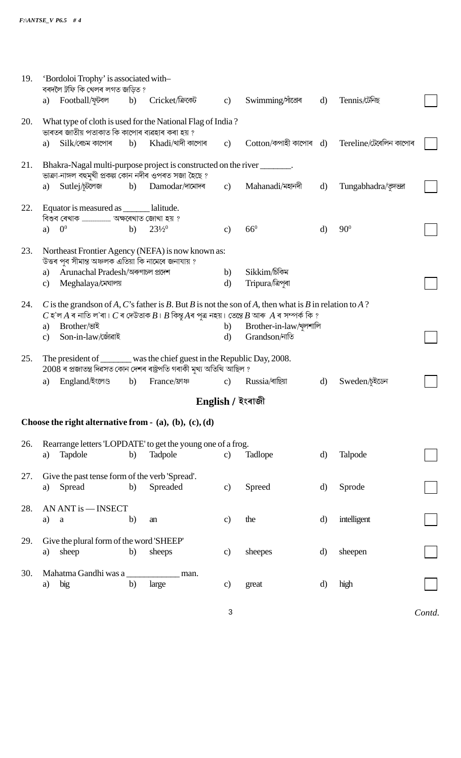| 19. |                                                                                                                                                    | 'Bordoloi Trophy' is associated with-<br>বৰদলৈ ট্ৰফি কি খেলৰ লগত জড়িত ? |    |                                                                         |                |                                                                                                                                                                                                                |              |                        |        |
|-----|----------------------------------------------------------------------------------------------------------------------------------------------------|--------------------------------------------------------------------------|----|-------------------------------------------------------------------------|----------------|----------------------------------------------------------------------------------------------------------------------------------------------------------------------------------------------------------------|--------------|------------------------|--------|
|     | a)                                                                                                                                                 | Football/ফুটবল b)                                                        |    | Cricket/ক্ৰিকেট                                                         | $\mathbf{c}$   | Swimming/সাঁতোৰ                                                                                                                                                                                                | $\mathbf{d}$ | Tennis/টেনিছ           |        |
| 20. |                                                                                                                                                    | ভাৰতৰ জাতীয় পতাকাত কি কাপোৰ ব্যৱহাৰ কৰা হয় ?                           |    | What type of cloth is used for the National Flag of India?              |                |                                                                                                                                                                                                                |              |                        |        |
|     | a)                                                                                                                                                 | $Silk$ বেচম কাপোৰ                                                        | b) | $Khadi$ খাদী কাপোৰ                                                      | $\mathbf{c})$  | $\cot$ ton/কপাহী কাপোৰ $\,$ d)                                                                                                                                                                                 |              | Tereline/টেৰেলিন কাপোৰ |        |
| 21. |                                                                                                                                                    | ভাক্ৰা-নাঙ্গল বহুমুখী প্ৰকল্প কোন নদীৰ ওপৰত সজা হৈছে ?                   |    | Bhakra-Nagal multi-purpose project is constructed on the river _______. |                |                                                                                                                                                                                                                |              |                        |        |
|     | a)                                                                                                                                                 | Sutlej/চূটলেজ                                                            | b) | Damodar/দামোদৰ                                                          | $\mathbf{c}$ ) | Mahanadi/মহানদী                                                                                                                                                                                                | $\mathbf{d}$ | Tungabhadra/कुल्खन     |        |
| 22. |                                                                                                                                                    | Equator is measured as ______ lalitude.                                  |    |                                                                         |                |                                                                                                                                                                                                                |              |                        |        |
|     | a)                                                                                                                                                 | 0 <sup>0</sup>                                                           | b) | $23\frac{1}{2}$ <sup>0</sup>                                            | C)             | $66^0$                                                                                                                                                                                                         | $\mathbf{d}$ | $90^\circ$             |        |
| 23. |                                                                                                                                                    | উত্তৰ পূব সীমান্ত অঞ্চলক এতিয়া কি নামেৰে জনাযায় ?                      |    | Northeast Frontier Agency (NEFA) is now known as:                       |                |                                                                                                                                                                                                                |              |                        |        |
|     | a)                                                                                                                                                 | Arunachal Pradesh/অৰুণাচল প্ৰদেশ                                         |    |                                                                         | b)             | Sikkim/চিকিম                                                                                                                                                                                                   |              |                        |        |
|     | $\mathbf{c}$                                                                                                                                       | Meghalaya/মেঘালয়                                                        |    |                                                                         | $\mathbf{d}$   | Tripura/ত্ৰিপৰা                                                                                                                                                                                                |              |                        |        |
|     |                                                                                                                                                    |                                                                          |    |                                                                         |                |                                                                                                                                                                                                                |              |                        |        |
| 24. |                                                                                                                                                    |                                                                          |    |                                                                         |                | C is the grands on of A, C's father is B. But B is not the son of A, then what is B in relation to A?<br>$C$ হ'ল A ৰ নাতি ল'ৰা। $C$ ৰ দেউতাক $B$ । $B$ কিন্তু Aৰ পুত্ৰ নহয়। তেন্তে $B$ আৰু $A$ ৰ সম্পৰ্ক কি ? |              |                        |        |
|     | a)                                                                                                                                                 | Brother/ভাই                                                              |    |                                                                         | b)             | Brother-in-law/খুলশালি                                                                                                                                                                                         |              |                        |        |
|     | $\mathbf{c}$                                                                                                                                       | Son-in-law/জোঁৱাই                                                        |    |                                                                         | $\mathbf{d}$   | Grandson/নাতি                                                                                                                                                                                                  |              |                        |        |
|     |                                                                                                                                                    |                                                                          |    |                                                                         |                |                                                                                                                                                                                                                |              |                        |        |
| 25. | The president of _______ was the chief guest in the Republic Day, 2008.<br>$2008$ ৰ প্ৰজাতন্ত্ৰ দিৱসত কোন দেশৰ ৰাষ্ট্ৰপতি গৰাকী মুখ্য অতিথি আছিল ? |                                                                          |    |                                                                         |                |                                                                                                                                                                                                                |              |                        |        |
|     | a)                                                                                                                                                 | England/ইংলেণ্ড b) France/ফ্ৰাঞ্চ                                        |    |                                                                         | c)             | Russia/ৰাছিয়া                                                                                                                                                                                                 | d)           | Sweden/চইডেন           |        |
|     |                                                                                                                                                    |                                                                          |    |                                                                         |                | English / ইংৰাজী                                                                                                                                                                                               |              |                        |        |
|     |                                                                                                                                                    |                                                                          |    | Choose the right alternative from $-$ (a), (b), (c), (d)                |                |                                                                                                                                                                                                                |              |                        |        |
| 26. |                                                                                                                                                    |                                                                          |    | Rearrange letters 'LOPDATE' to get the young one of a frog.             |                |                                                                                                                                                                                                                |              |                        |        |
|     | a)                                                                                                                                                 | Tapdole                                                                  | b) | Tadpole                                                                 | $\mathbf{c}$   | Tadlope                                                                                                                                                                                                        | d)           | Talpode                |        |
| 27. |                                                                                                                                                    | Give the past tense form of the verb 'Spread'.                           |    |                                                                         |                |                                                                                                                                                                                                                |              |                        |        |
|     | a)                                                                                                                                                 | Spread                                                                   | b) | Spreaded                                                                | c)             | Spreed                                                                                                                                                                                                         | d)           | Sprode                 |        |
| 28. |                                                                                                                                                    | AN ANT is - INSECT                                                       |    |                                                                         |                |                                                                                                                                                                                                                |              |                        |        |
|     | a)                                                                                                                                                 | $\mathbf a$                                                              | b) | an                                                                      | $\mathbf{c})$  | the                                                                                                                                                                                                            | $\mathbf{d}$ | intelligent            |        |
| 29. |                                                                                                                                                    | Give the plural form of the word 'SHEEP'                                 |    |                                                                         |                |                                                                                                                                                                                                                |              |                        |        |
|     | a)                                                                                                                                                 | sheep                                                                    | b) | sheeps                                                                  | $\mathbf{c})$  | sheepes                                                                                                                                                                                                        | $\rm d$      | sheepen                |        |
| 30. |                                                                                                                                                    | Mahatma Gandhi was a                                                     |    | man.                                                                    |                |                                                                                                                                                                                                                |              |                        |        |
|     | a)                                                                                                                                                 | big                                                                      | b) | large                                                                   | $\mathbf{c})$  | great                                                                                                                                                                                                          | d)           | high                   |        |
|     |                                                                                                                                                    |                                                                          |    |                                                                         | 3              |                                                                                                                                                                                                                |              |                        | Contd. |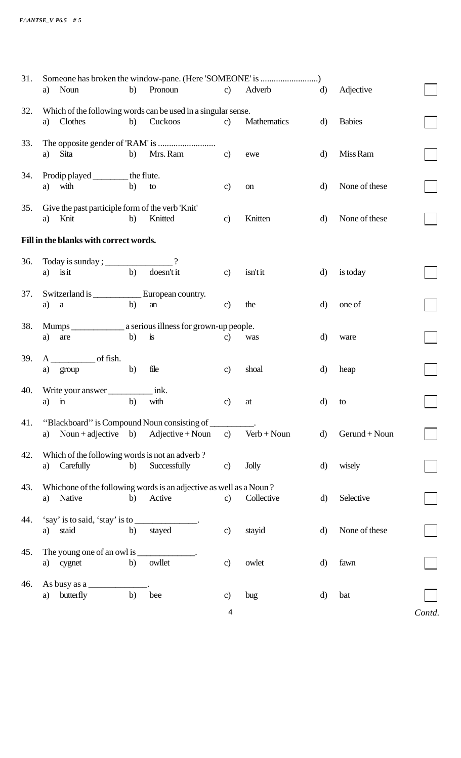| 31. |                                                                         |    |                                      |                |               |              |                |        |
|-----|-------------------------------------------------------------------------|----|--------------------------------------|----------------|---------------|--------------|----------------|--------|
|     | Noun<br>a)                                                              | b) | Pronoun                              | $\mathbf{c})$  | Adverb        | $\mathbf{d}$ | Adjective      |        |
| 32. | Which of the following words can be used in a singular sense.           |    |                                      |                |               |              |                |        |
|     | Clothes<br>a)                                                           | b) | Cuckoos                              | $\mathbf{c}$   | Mathematics   | $\mathbf{d}$ | <b>Babies</b>  |        |
| 33. |                                                                         |    |                                      |                |               |              |                |        |
|     | Sita<br>a)                                                              | b) | Mrs. Ram                             | $\mathbf{c}$   | ewe           | $\mathbf{d}$ | Miss Ram       |        |
| 34. | Prodip played _________ the flute.                                      |    |                                      |                |               |              |                |        |
|     | with<br>a)                                                              | b) | to                                   | c)             | on            | $\mathbf{d}$ | None of these  |        |
| 35. | Give the past participle form of the verb 'Knit'                        |    |                                      |                |               |              |                |        |
|     | Knit<br>a)                                                              | b) | Knitted                              | $\mathbf{c}$   | Knitten       | $\mathbf{d}$ | None of these  |        |
|     | Fill in the blanks with correct words.                                  |    |                                      |                |               |              |                |        |
| 36. | Today is sunday ; ____________________?                                 |    |                                      |                |               |              |                |        |
|     | is it<br>a)                                                             | b) | doesn't it                           | $\mathbf{c}$   | isn't it      | $\mathbf{d}$ | is today       |        |
| 37. | Switzerland is <u>____________</u> European country.                    |    |                                      |                |               |              |                |        |
|     | a)<br>$\rm{a}$                                                          | b) | an                                   | $\mathbf{c}$   | the           | $\mathbf{d}$ | one of         |        |
| 38. |                                                                         |    |                                      |                |               |              |                |        |
|     | are<br>a)                                                               | b) | $\dot{\mathbf{i}}$ s                 | c)             | was           | $\rm d$      | ware           |        |
| 39. | $A$ of fish.                                                            |    |                                      |                |               |              |                |        |
|     | group<br>a)                                                             | b) | file                                 | c)             | shoal         | d)           | heap           |        |
| 40. | Write your answer                                                       |    | $\overline{\phantom{a}}$ ink.        |                |               |              |                |        |
|     | $\mathbf{\dot{n}}$<br>a)                                                | b) | with                                 | c)             | at            | d)           | to             |        |
| 41. | "Blackboard" is Compound Noun consisting of                             |    |                                      |                |               |              |                |        |
|     | a)                                                                      |    | Noun + adjective b) Adjective + Noun | $\mathbf{c}$ ) | $Verb + Noun$ | $\mathbf{d}$ | $Germd + Noun$ |        |
| 42. | Which of the following words is not an adverb?                          |    |                                      |                |               |              |                |        |
|     | Carefully<br>a)                                                         | b) | Successfully                         | c)             | <b>Jolly</b>  | $\mathbf{d}$ | wisely         |        |
| 43. | Whichone of the following words is an adjective as well as a Noun?      |    |                                      |                |               |              |                |        |
|     | Native<br>a)                                                            | b) | Active                               | $\mathbf{c}$   | Collective    | $\mathbf{d}$ | Selective      |        |
| 44. | 'say' is to said, 'stay' is to ______________.                          |    |                                      |                |               |              |                |        |
|     | staid<br>a)                                                             | b) | stayed                               | $\mathbf{c}$   | stayid        | $\mathbf{d}$ | None of these  |        |
| 45. | The young one of an owl is ______________.                              |    |                                      |                |               |              |                |        |
|     | a) cygnet                                                               | b) | owllet                               | $\mathbf{c}$   | owlet         | $\mathbf{d}$ | fawn           |        |
| 46. | As busy as a $\frac{1}{\sqrt{1-\frac{1}{2}}\left(1-\frac{1}{2}\right)}$ |    |                                      |                |               |              |                |        |
|     | butterfly<br>a)                                                         | b) | bee                                  | c)             | bug           | $\mathbf{d}$ | bat            |        |
|     |                                                                         |    |                                      | 4              |               |              |                | Contd. |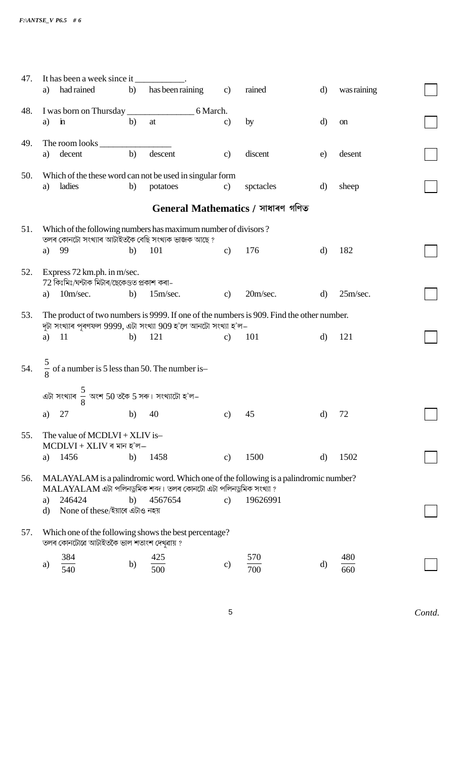| 47. | It has been a week since it                                                              |    |                                                                                    |               |            |              |             |  |
|-----|------------------------------------------------------------------------------------------|----|------------------------------------------------------------------------------------|---------------|------------|--------------|-------------|--|
|     | had rained<br>a)                                                                         | b) | has been raining                                                                   | $\mathbf{c}$  | rained     | d)           | was raining |  |
| 48. |                                                                                          |    |                                                                                    |               |            |              |             |  |
|     | a)<br>$\dot{m}$                                                                          | b) | at                                                                                 | $\mathbf{c}$  | by         | $\mathbf{d}$ | on          |  |
|     |                                                                                          |    |                                                                                    |               |            |              |             |  |
| 49. | The room looks<br>a) decent                                                              | b) | descent                                                                            | $\mathbf{c})$ | discent    | e)           | desent      |  |
|     |                                                                                          |    |                                                                                    |               |            |              |             |  |
| 50. |                                                                                          |    | Which of the these word can not be used in singular form                           |               |            |              |             |  |
|     | ladies<br>a)                                                                             | b) | potatoes                                                                           | $\mathbf{c}$  | spetacles  | $\mathbf{d}$ | sheep       |  |
|     |                                                                                          |    | General Mathematics / সাধাৰণ গণিত                                                  |               |            |              |             |  |
| 51. |                                                                                          |    | Which of the following numbers has maximum number of divisors?                     |               |            |              |             |  |
|     |                                                                                          |    | তলৰ কোনটো সংখ্যাৰ আটাইতকৈ বেছি সংখ্যক ভাজক আছে ?                                   |               |            |              |             |  |
|     | 99<br>a)                                                                                 | b) | 101                                                                                | c)            | 176        | $\mathbf{d}$ | 182         |  |
| 52. | Express 72 km.ph. in m/sec.                                                              |    |                                                                                    |               |            |              |             |  |
|     | 72 কিঃমিঃ/ঘন্টাক মিটাৰ/ছেকেণ্ডত প্ৰকাশ কৰা-                                              |    |                                                                                    |               |            |              |             |  |
|     | a) $10m/sec.$                                                                            | b) | 15m/sec.                                                                           | $\mathbf{c}$  | 20m/sec.   | $\mathbf{d}$ | 25m/sec.    |  |
| 53. | The product of two numbers is 9999. If one of the numbers is 909. Find the other number. |    |                                                                                    |               |            |              |             |  |
|     |                                                                                          |    | দুটা সংখ্যাৰ পূৰণফল 9999, এটা সংখ্যা 909 হ'লে আনটো সংখ্যা হ'ল–                     |               |            |              |             |  |
|     | - 11<br>a)                                                                               | b) | 121                                                                                | $\mathbf{c}$  | 101        | $\mathbf{d}$ | 121         |  |
|     |                                                                                          |    |                                                                                    |               |            |              |             |  |
| 54. | $\frac{5}{8}$ of a number is 5 less than 50. The number is-                              |    |                                                                                    |               |            |              |             |  |
|     |                                                                                          |    |                                                                                    |               |            |              |             |  |
|     | এটা সংখ্যাৰ $\frac{5}{8}$ অংশ 50 তকৈ 5 সৰু। সংখ্যাটো হ'ল–                                |    |                                                                                    |               |            |              |             |  |
|     | 27<br>a)                                                                                 | b) | 40                                                                                 | c)            | 45         | $\mathbf{d}$ | 72          |  |
|     |                                                                                          |    |                                                                                    |               |            |              |             |  |
| 55. | The value of $MCDLVI + XLIV$ is-<br>$MCDLVI + XLIV$ ৰ মান হ'ল $-$                        |    |                                                                                    |               |            |              |             |  |
|     | 1456<br>a)                                                                               | b) | 1458                                                                               | $\mathbf{c})$ | 1500       | $\mathbf{d}$ | 1502        |  |
|     |                                                                                          |    |                                                                                    |               |            |              |             |  |
| 56. | MALAYALAM is a palindromic word. Which one of the following is a palindromic number?     |    |                                                                                    |               |            |              |             |  |
|     | 246424<br>a)                                                                             | b) | $\text{MALAYALAM}$ এটা পলিনডুমিক শব্দ। তলৰ কোনটো এটা পলিনডুমিক সংখ্যা ?<br>4567654 | $\mathbf{c})$ | 19626991   |              |             |  |
|     | None of these/ইয়াৰে এটাও নহয়<br>$\mathbf{d}$                                           |    |                                                                                    |               |            |              |             |  |
|     |                                                                                          |    |                                                                                    |               |            |              |             |  |
| 57. | তলৰ কোনটোৱে আটাইতকৈ ভাল শতাংশ দেখুৱায় ?                                                 |    | Which one of the following shows the best percentage?                              |               |            |              |             |  |
|     |                                                                                          |    |                                                                                    |               |            |              |             |  |
|     | 384<br>a)<br>540                                                                         | b) | 425<br>500                                                                         | $\mathbf{c})$ | 570<br>700 | $\rm d$      | 480<br>660  |  |
|     |                                                                                          |    |                                                                                    |               |            |              |             |  |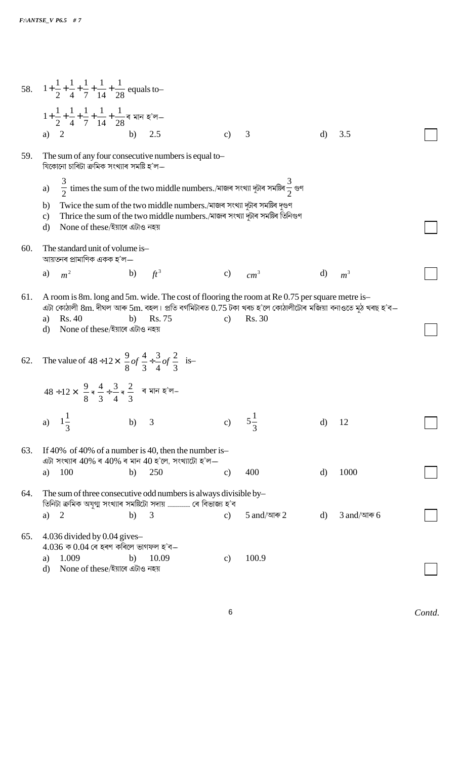|     | 58. $1+\frac{1}{2}+\frac{1}{4}+\frac{1}{7}+\frac{1}{14}+\frac{1}{28}$ equals to-                                                                                                                                                                                                                                                                     |    |                                                                                                    |               |                 |              |                |  |  |  |  |
|-----|------------------------------------------------------------------------------------------------------------------------------------------------------------------------------------------------------------------------------------------------------------------------------------------------------------------------------------------------------|----|----------------------------------------------------------------------------------------------------|---------------|-----------------|--------------|----------------|--|--|--|--|
|     | $1+\frac{1}{2}+\frac{1}{4}+\frac{1}{7}+\frac{1}{14}+\frac{1}{28}$ ৰ মান হ'ল $-$                                                                                                                                                                                                                                                                      |    |                                                                                                    |               |                 |              |                |  |  |  |  |
|     | 2<br>a)                                                                                                                                                                                                                                                                                                                                              | b) | 2.5                                                                                                | $\mathbf{c}$  | 3               | $\mathbf{d}$ | 3.5            |  |  |  |  |
| 59. | The sum of any four consecutive numbers is equal to-<br>যিকোনো চাৰিটা ক্ৰমিক সংখ্যাৰ সমষ্টি হ'ল—                                                                                                                                                                                                                                                     |    |                                                                                                    |               |                 |              |                |  |  |  |  |
|     | a)                                                                                                                                                                                                                                                                                                                                                   |    | $\frac{3}{2}$ times the sum of the two middle numbers./মাজৰ সংখ্যা দুটাৰ সমষ্টিৰ $\frac{3}{2}$ গুণ |               |                 |              |                |  |  |  |  |
|     | Twice the sum of the two middle numbers./মাজৰ সংখ্যা দুটাৰ সমষ্টিৰ দুগুণ<br>b)<br>Thrice the sum of the two middle numbers./মাজৰ সংখ্যা দুটাৰ সমষ্টিৰ তিনিগুণ<br>$\mathbf{c})$<br>None of these/ইয়াৰে এটাও নহয়<br>$\rm d$                                                                                                                          |    |                                                                                                    |               |                 |              |                |  |  |  |  |
| 60. | The standard unit of volume is-<br>আয়তনৰ প্ৰামাণিক একক হ'ল—                                                                                                                                                                                                                                                                                         |    |                                                                                                    |               |                 |              |                |  |  |  |  |
|     | m <sup>2</sup><br>a)                                                                                                                                                                                                                                                                                                                                 | b) | $ft^3$                                                                                             | $\mathbf{c}$  | cm <sup>3</sup> | d)           | m <sup>3</sup> |  |  |  |  |
| 61. | A room is 8m. long and 5m. wide. The cost of flooring the room at Re 0.75 per square metre is-<br>এটা কোঠালী $8\text{m}$ . দীঘল আৰু 5 $\text{m}$ . বহল। প্ৰতি বৰ্গমিটাৰত $0.75$ টকা খৰচ হ'লে কোঠালীটোৰ মজিয়া বনাওতে মুঠ খৰছ হ'ব—<br>Rs. 75<br><b>Rs.</b> 30<br>Rs. 40<br>b)<br>$\mathbf{c}$<br>a)<br>None of these/ইয়াৰে এটাও নহয়<br>$\mathbf{d}$ |    |                                                                                                    |               |                 |              |                |  |  |  |  |
| 62. | The value of $48 \div 12 \times \left(\frac{9}{8}of\frac{4}{3} \div \frac{3}{4}of\frac{2}{3}\right)$ is-<br>$48 \div 12 \times \left(\frac{9}{8} \times \frac{4}{3} \div \frac{3}{4} \times \frac{2}{3}\right)$ ৰ মান হ'ল-                                                                                                                           |    |                                                                                                    |               |                 |              |                |  |  |  |  |
|     |                                                                                                                                                                                                                                                                                                                                                      |    |                                                                                                    |               |                 |              |                |  |  |  |  |
|     | a)                                                                                                                                                                                                                                                                                                                                                   | b) | 3                                                                                                  | $\mathbf{c})$ | $5\frac{1}{3}$  | $\mathbf{d}$ | 12             |  |  |  |  |
| 63. | If 40% of 40% of a number is 40, then the number is-<br>এটা সংখ্যাৰ $40\%$ ৰ $40\%$ ৰ মান $40$ হ'লে, সংখ্যাটো হ'ল—                                                                                                                                                                                                                                   |    |                                                                                                    |               |                 |              |                |  |  |  |  |
|     | 100<br>a)                                                                                                                                                                                                                                                                                                                                            | b) | 250                                                                                                | $\mathbf{c})$ | 400             | d)           | 1000           |  |  |  |  |
| 64. | The sum of three consecutive odd numbers is always divisible by-                                                                                                                                                                                                                                                                                     |    |                                                                                                    |               |                 |              |                |  |  |  |  |
|     | 2<br>a)                                                                                                                                                                                                                                                                                                                                              | b) | 3                                                                                                  | $\mathbf{c}$  | 5 and/আৰু $2$   | $\mathbf{d}$ | $3$ and/আৰু 6  |  |  |  |  |
| 65. | $4.036$ divided by 0.04 gives-<br>$4.036$ ক $0.04$ ৰে হৰণ কৰিলে ভাগফল হ'ব—                                                                                                                                                                                                                                                                           |    |                                                                                                    |               |                 |              |                |  |  |  |  |
|     | 1.009<br>a)<br>None of these/ইয়াৰে এটাও নহয়<br>$\mathbf{d}$                                                                                                                                                                                                                                                                                        | b) | 10.09                                                                                              | $\mathbf{c})$ | 100.9           |              |                |  |  |  |  |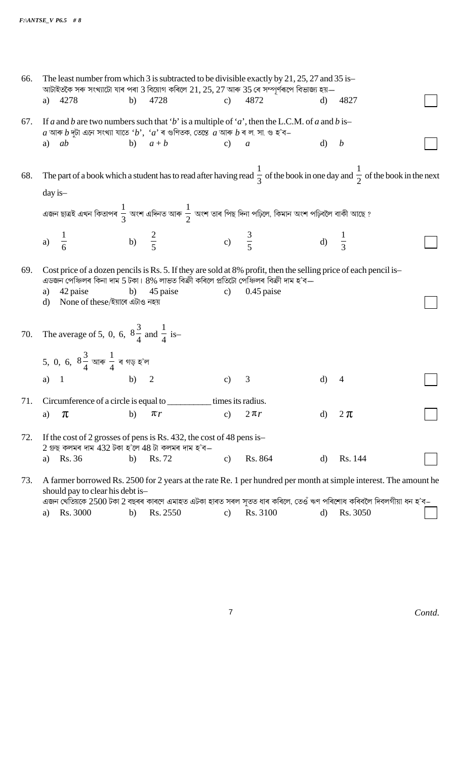| The least number from which 3 is subtracted to be divisible exactly by 21, 25, 27 and 35 is-<br>66.<br>আটাইতকৈ সৰু সংখ্যাটো যাৰ পৰা 3 বিয়োগ কৰিলে $21, 25, 27$ আৰু 35 ৰে সম্পূৰ্ণৰূপে বিভাজ্য হয়— |                      |                                                                  |        |                                                                                                                                 |               |                                                                                                                                                                                                                         |              |                                                                                                                                                 |  |
|-----------------------------------------------------------------------------------------------------------------------------------------------------------------------------------------------------|----------------------|------------------------------------------------------------------|--------|---------------------------------------------------------------------------------------------------------------------------------|---------------|-------------------------------------------------------------------------------------------------------------------------------------------------------------------------------------------------------------------------|--------------|-------------------------------------------------------------------------------------------------------------------------------------------------|--|
|                                                                                                                                                                                                     | 4278<br>a)           |                                                                  | b)     | 4728                                                                                                                            | c)            | 4872                                                                                                                                                                                                                    | $\mathbf{d}$ | 4827                                                                                                                                            |  |
| 67.                                                                                                                                                                                                 |                      |                                                                  |        | $a$ আৰু $b$ দুটা এনে সংখ্যা যাতে ' $b$ ', ' $a$ ' ৰ গুণিতক, তেন্তে $a$ আৰু $b$ ৰ ল. সা. গু হ'ব–                                 |               | If a and b are two numbers such that 'b' is a multiple of 'a', then the L.C.M. of a and b is-                                                                                                                           |              |                                                                                                                                                 |  |
|                                                                                                                                                                                                     | a) $ab$              |                                                                  |        | b) $a+b$                                                                                                                        | $c)$ a        |                                                                                                                                                                                                                         | $\mathbf{d}$ | $\boldsymbol{b}$                                                                                                                                |  |
| 68.                                                                                                                                                                                                 | day is-              |                                                                  |        |                                                                                                                                 |               |                                                                                                                                                                                                                         |              | The part of a book which a student has to read after having read $\frac{1}{3}$ of the book in one day and $\frac{1}{2}$ of the book in the next |  |
|                                                                                                                                                                                                     |                      |                                                                  |        |                                                                                                                                 |               | এজন ছাত্ৰই এখন কিতাপৰ $\frac{1}{3}$ অংশ এদিনত আৰু $\frac{1}{2}$ অংশ তাৰ পিছ দিনা পঢ়িলে, কিমান অংশ পঢ়িবলৈ বাকী আছে ?                                                                                                   |              |                                                                                                                                                 |  |
|                                                                                                                                                                                                     | $\frac{1}{6}$<br>a)  |                                                                  |        | b) $\frac{2}{5}$ c) $\frac{3}{5}$                                                                                               |               | d) $\frac{1}{3}$                                                                                                                                                                                                        |              |                                                                                                                                                 |  |
| 69.                                                                                                                                                                                                 | 42 paise<br>a)<br>d) | None of these/ইয়াৰে এটাও নহয়                                   | b)     | 45 paise                                                                                                                        | $\mathbf{c})$ | Cost price of a dozen pencils is Rs. 5. If they are sold at 8% profit, then the selling price of each pencil is-<br>এডজন পেঞ্চিলৰ কিনা দাম 5 টকা। 8% লাভত বিক্ৰী কৰিলে প্ৰতিটো পেঞ্চিলৰ বিক্ৰী দাম হ'ব—<br>$0.45$ paise |              |                                                                                                                                                 |  |
|                                                                                                                                                                                                     |                      | 70. The average of 5, 0, 6, $8\frac{3}{4}$ and $\frac{1}{4}$ is- |        |                                                                                                                                 |               |                                                                                                                                                                                                                         |              |                                                                                                                                                 |  |
|                                                                                                                                                                                                     |                      | 5, 0, 6, $8\frac{3}{4}$ আৰু $\frac{1}{4}$ ৰ গড় হ'ল              |        |                                                                                                                                 |               |                                                                                                                                                                                                                         |              |                                                                                                                                                 |  |
|                                                                                                                                                                                                     |                      | a) $1$                                                           | b) $2$ |                                                                                                                                 | $\mathbf{c}$  | 3                                                                                                                                                                                                                       | d)           | 4                                                                                                                                               |  |
| 71.                                                                                                                                                                                                 |                      |                                                                  |        | Circumference of a circle is equal to _________________ times its radius.                                                       |               |                                                                                                                                                                                                                         |              |                                                                                                                                                 |  |
|                                                                                                                                                                                                     | $\pi$<br>a)          |                                                                  | b)     | $\pi r$                                                                                                                         | C)            | $2\pi r$                                                                                                                                                                                                                | d)           | $2 \pi$                                                                                                                                         |  |
| 72.                                                                                                                                                                                                 |                      |                                                                  |        | If the cost of 2 grosses of pens is Rs. 432, the cost of 48 pens is-<br>$2$ গ্ৰুছ কলমৰ দাম $432$ টকা হ'লে $48$ টা কলমৰ দাম হ'ব— |               |                                                                                                                                                                                                                         |              |                                                                                                                                                 |  |
|                                                                                                                                                                                                     | Rs. 36<br>a)         |                                                                  | b)     | Rs. 72                                                                                                                          | $\mathbf{c}$  | Rs. 864                                                                                                                                                                                                                 | $\mathbf{d}$ | Rs. 144                                                                                                                                         |  |
| 73.                                                                                                                                                                                                 |                      | should pay to clear his debt is-                                 |        |                                                                                                                                 |               |                                                                                                                                                                                                                         |              | A farmer borrowed Rs. 2500 for 2 years at the rate Re. 1 per hundred per month at simple interest. The amount he                                |  |

| এজন খেতিয়কে 2500 টকা 2 বছৰৰ কাৰণে এমাহত এটকা হাৰত সৰল সৃতত ধাৰ কৰিলে, তেওঁ ঋণ পৰিশোধ কৰিবলৈ দিবলগীয়া ধন হ'ব– |             |               |               |  |
|----------------------------------------------------------------------------------------------------------------|-------------|---------------|---------------|--|
| a) Rs. 3000                                                                                                    | b) Rs. 2550 | c) Rs. $3100$ | d) Rs. $3050$ |  |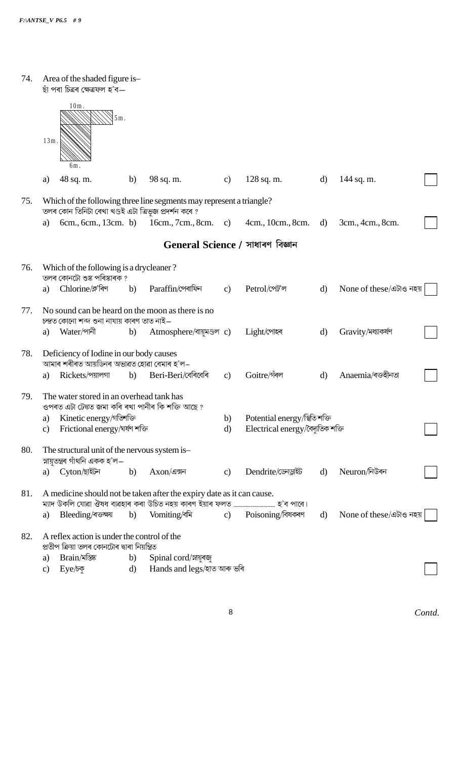| 74. |                                  | Area of the shaded figure is-<br>ছাঁ পৰা চিত্ৰৰ ক্ষেত্ৰফল হ'ব—                                                                                           |              |                                                                       |                    |                                                                    |              |                         |  |
|-----|----------------------------------|----------------------------------------------------------------------------------------------------------------------------------------------------------|--------------|-----------------------------------------------------------------------|--------------------|--------------------------------------------------------------------|--------------|-------------------------|--|
|     | $13m$ .                          | $10m$ .<br>$5m$ .<br>6m.                                                                                                                                 |              |                                                                       |                    |                                                                    |              |                         |  |
|     | a)                               | 48 sq. m.                                                                                                                                                | b)           | 98 sq. m.                                                             | c)                 | $128$ sq. m.                                                       | d)           | 144 sq. m.              |  |
| 75. |                                  |                                                                                                                                                          |              | Which of the following three line segments may represent a triangle?  |                    |                                                                    |              |                         |  |
|     | a)                               | তলৰ কোন তিনিটা ৰেখা খণ্ডই এটা ত্ৰিভূজ প্ৰদৰ্শন কৰে ?<br>6cm., 6cm., 13cm. b)                                                                             |              | 16cm., 7cm., 8cm.                                                     | c)                 | 4cm., 10cm., 8cm.                                                  | d)           | 3cm., 4cm., 8cm.        |  |
|     | General Science / সাধাৰণ বিজ্ঞান |                                                                                                                                                          |              |                                                                       |                    |                                                                    |              |                         |  |
| 76. |                                  | Which of the following is a drycleaner?                                                                                                                  |              |                                                                       |                    |                                                                    |              |                         |  |
|     | a)                               | তলৰ কোনটো শুষ্ক পৰিষ্কাৰক ?<br>Chlorine/ক্ল'ৰিণ                                                                                                          | b)           | Paraffin/পেৰাফিন                                                      | $\mathbf{c}$       | Petrol/পেট'ল                                                       | $\mathbf{d}$ | None of these/এটাও নহয় |  |
| 77. |                                  | No sound can be heard on the moon as there is no<br>চন্দ্ৰত কোনো শব্দ শুনা নাযায় কাৰণ তাত নাই—                                                          |              |                                                                       |                    |                                                                    |              |                         |  |
|     | a)                               | Water/পানী                                                                                                                                               | b)           | Atmosphere/বায়ুমণ্ডল c)                                              |                    | Light/পোহৰ                                                         | $\mathbf{d}$ | Gravity/মধ্যাকর্ষণ      |  |
| 78. | a)                               | Deficiency of Iodine in our body causes<br>আমাৰ শৰীৰত আয়ডিনৰ অভাৱত হোৱা বেমাৰ হ'ল–<br>Rickets/পয়ালগা                                                   | b)           | Beri-Beri/বেৰিবেৰি                                                    | $\mathbf{c}$       | Goitre/গঁৰল                                                        | $\mathbf{d}$ | Anaemia/ৰক্তহীনতা       |  |
| 79. | a)<br>$\mathbf{c}$               | The water stored in an overhead tank has<br>ওপৰত এটা টেঙ্কত জমা কৰি ৰখা পানীৰ কি শক্তি আছে ?<br>Kinetic energy/গতিশক্তি<br>Frictional energy/ঘৰ্ষণ শক্তি |              |                                                                       | b)<br>$\mathbf{d}$ | Potential energy/শ্বিতি শক্তি<br>Electrical energy/বৈদ্যুতিক শক্তি |              |                         |  |
|     |                                  |                                                                                                                                                          |              |                                                                       |                    |                                                                    |              |                         |  |
| 80. |                                  | The structural unit of the nervous system is-<br>স্নায়ুতন্ত্ৰৰ গাঁথনি একক হ'ল—                                                                          |              |                                                                       |                    |                                                                    |              |                         |  |
|     |                                  | a) Cyton/ছাইটন                                                                                                                                           | b)           | $Axon/d$ ক্সন                                                         | $\mathbf{c}$       | Dendrite/ডেনড্ৰাইট                                                 | d)           | Neuron/নিউৰন            |  |
| 81. |                                  |                                                                                                                                                          |              | A medicine should not be taken after the expiry date as it can cause. |                    |                                                                    |              |                         |  |
|     | a)                               | Bleeding/ৰক্তক্ষয়                                                                                                                                       | b)           | Vomiting/বমি                                                          |                    | c) Poisoning/বিষকৰণ                                                | $\mathbf{d}$ | None of these/এটাও নহয় |  |
| 82. |                                  | A reflex action is under the control of the<br>প্ৰতীপ ক্ৰিয়া তলৰ কোনটোৰ দ্বাৰা নিয়ন্ত্ৰিত                                                              |              |                                                                       |                    |                                                                    |              |                         |  |
|     | a)                               | Brain/মস্তিষ্ক                                                                                                                                           | b)           | Spinal cord/স্নায়ুৰজু                                                |                    |                                                                    |              |                         |  |
|     | $\mathbf{c}$                     | Eye/bo                                                                                                                                                   | $\mathbf{d}$ | Hands and legs/হাত আৰু ভৰি                                            |                    |                                                                    |              |                         |  |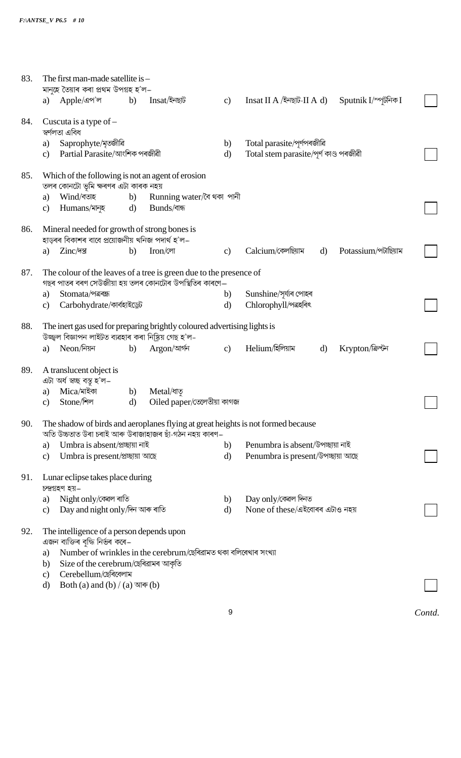| 83. | The first man-made satellite is -                                                                                                         |                                                                 |                    |                                                |                      |        |
|-----|-------------------------------------------------------------------------------------------------------------------------------------------|-----------------------------------------------------------------|--------------------|------------------------------------------------|----------------------|--------|
|     | মানুহে তৈয়াৰ কৰা প্ৰথম উপগ্ৰহ হ'ল–<br>Apple/এপ'ল<br>b)<br>a)                                                                             | Insat/ইনছাট                                                     | $\mathbf{c}$       | Insat II A /ইনছাট-II A d)                      | Sputnik I/স্পূটনিক I |        |
| 84. | Cuscuta is a type of $-$<br>স্বৰ্ণলতা এবিধ                                                                                                |                                                                 |                    |                                                |                      |        |
|     | Saprophyte/মৃতজীৱি<br>a)                                                                                                                  |                                                                 | b)                 | Total parasite/পূৰ্ণপৰজীৱি                     |                      |        |
|     | Partial Parasite/আংশিক পৰজীৱী<br>$\mathbf{c}$                                                                                             |                                                                 | $\mathbf{d}$       | Total stem parasite/পূৰ্ণ কাণ্ড পৰজীৱী         |                      |        |
| 85. | Which of the following is not an agent of erosion<br>তলৰ কোনটো ভূমি ক্ষৰণৰ এটা কাৰক নহয়                                                  |                                                                 |                    |                                                |                      |        |
|     | Wind/বতাহ<br>b)<br>a)                                                                                                                     | Running water/বৈ থকা পানী                                       |                    |                                                |                      |        |
|     | Humans/মানুহ<br>$\mathbf{d}$<br>$\mathbf{c})$                                                                                             | Bunds/বান্ধ                                                     |                    |                                                |                      |        |
| 86. | Mineral needed for growth of strong bones is<br>হাড়ৰৰ বিকাশৰ বাবে প্ৰয়োজনীয় খনিজ পদাৰ্থ হ'ল–                                           |                                                                 |                    |                                                |                      |        |
|     | Zinc/पछ<br>b)<br>a)                                                                                                                       | Iron/লো                                                         | $\mathbf{c}$       | Calcium/কেলছিয়াম<br>$\mathbf{d}$              | Potassium/পটাছিয়াম  |        |
| 87. | The colour of the leaves of a tree is green due to the presence of                                                                        |                                                                 |                    |                                                |                      |        |
|     | গছৰ পাতৰ বৰণ সেউজীয়া হয় তলৰ কোনটোৰ উপস্থিতিৰ কাৰণে—                                                                                     |                                                                 |                    |                                                |                      |        |
|     | Stomata/পত্ৰৰন্ধ<br>a)<br>Carbohydrate/কাৰ্বহাইড্ৰেট<br>$\mathbf{c})$                                                                     |                                                                 | b)<br>$\mathbf{d}$ | Sunshine/সূৰ্য্যৰ পোহৰ<br>Chlorophyll/পত্ৰহৰিৎ |                      |        |
|     |                                                                                                                                           |                                                                 |                    |                                                |                      |        |
| 88. | The inert gas used for preparing brightly coloured advertising lights is<br>উজ্জ্বল বিজ্ঞাপন লাইটত ব্যৱহাৰ কৰা নিষ্ক্ৰিয় গেছ হ'ল-        |                                                                 |                    |                                                |                      |        |
|     | $Neon$ /নিয়ন<br>b)<br>a)                                                                                                                 | Argon/আৰ্গন                                                     | $\mathbf{c}$ )     | Helium/হিলিয়াম<br>$\mathbf{d}$                | Krypton/ক্রিপ্টন     |        |
| 89. | A translucent object is                                                                                                                   |                                                                 |                    |                                                |                      |        |
|     | এটা অৰ্ধ স্বচ্ছ বস্তু হ'ল–<br>Mica/মাইকা                                                                                                  |                                                                 |                    |                                                |                      |        |
|     | b)<br>a)<br>Stone/শিল<br>$\mathbf{d}$<br>$\mathbf{c})$                                                                                    | Metal/ধাত<br>Oiled paper/তেলেতীয়া কাগজ                         |                    |                                                |                      |        |
|     |                                                                                                                                           |                                                                 |                    |                                                |                      |        |
| 90. | The shadow of birds and aeroplanes flying at great heights is not formed because<br>অতি উচ্চতাত উৰা চৰাই আৰু উৰাজাহাজৰ ছাঁ-গঠন নহয় কাৰণ– |                                                                 |                    |                                                |                      |        |
|     | Umbra is absent/প্ৰচ্ছায়া নাই<br>a)                                                                                                      |                                                                 | b)                 | Penumbra is absent/উপচ্ছায়া নাই               |                      |        |
|     | Umbra is present/প্ৰচ্ছায়া আছে<br>$\mathbf{c}$                                                                                           |                                                                 | $\mathbf{d}$       | Penumbra is present/উপচ্ছায়া আছে              |                      |        |
| 91. | Lunar eclipse takes place during                                                                                                          |                                                                 |                    |                                                |                      |        |
|     | চন্দ্ৰগ্ৰহণ হয়–<br>Night only/ক্ষেল ৰাতি<br>a)                                                                                           |                                                                 | b)                 | Day only/কেৱল দিনত                             |                      |        |
|     | Day and night only/দিন আৰু ৰাতি<br>$\mathbf{c}$                                                                                           |                                                                 | $\mathbf{d}$       | None of these/এইবোৰৰ এটাও নহয়                 |                      |        |
| 92. | The intelligence of a person depends upon<br>এজন ব্যক্তিৰ বুদ্ধি নিৰ্ভৰ কৰে–                                                              |                                                                 |                    |                                                |                      |        |
|     | a)                                                                                                                                        | Number of wrinkles in the cerebrum/ছেৰিৱামত থকা বলিৰেখাৰ সংখ্যা |                    |                                                |                      |        |
|     | Size of the cerebrum/ছেৰিৱামৰ আকৃতি<br>b)                                                                                                 |                                                                 |                    |                                                |                      |        |
|     | Cerebellum/ছেৰিবেলাম<br>$\mathbf{c}$<br>Both (a) and (b) / (a) আৰু (b)<br>d)                                                              |                                                                 |                    |                                                |                      |        |
|     |                                                                                                                                           |                                                                 |                    |                                                |                      |        |
|     |                                                                                                                                           |                                                                 | 9                  |                                                |                      | Contd. |